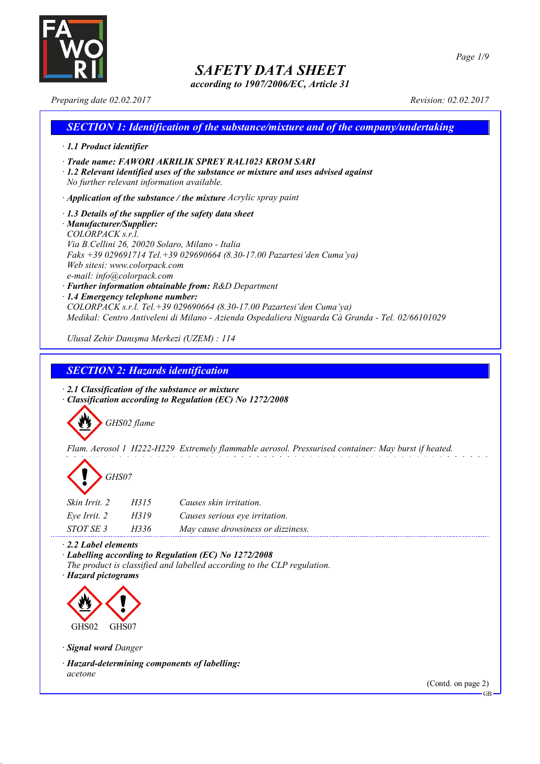

*according to 1907/2006/EC, Article 31*

*Page 1/9*

*Preparing date 02.02.2017 Revision: 02.02.2017*

## *SECTION 1: Identification of the substance/mixture and of the company/undertaking · 1.1 Product identifier · Trade name: FAWORI AKRILIK SPREY RAL1023 KROM SARI · 1.2 Relevant identified uses of the substance or mixture and uses advised against No further relevant information available. · Application of the substance / the mixture Acrylic spray paint · 1.3 Details of the supplier of the safety data sheet · Manufacturer/Supplier: COLORPACK s.r.l. Via B.Cellini 26, 20020 Solaro, Milano - Italia Faks +39 029691714 Tel.+39 029690664 (8.30-17.00 Pazartesi'den Cuma'ya) Web sitesi: www.colorpack.com e-mail: info@colorpack.com · Further information obtainable from: R&D Department · 1.4 Emergency telephone number: COLORPACK s.r.l. Tel.+39 029690664 (8.30-17.00 Pazartesi'den Cuma'ya) Medikal: Centro Antiveleni di Milano - Azienda Ospedaliera Niguarda Cà Granda - Tel. 02/66101029 Ulusal Zehir Danışma Merkezi (UZEM) : 114*

*SECTION 2: Hazards identification*

*· 2.1 Classification of the substance or mixture · Classification according to Regulation (EC) No 1272/2008*



*Flam. Aerosol 1 H222-H229 Extremely flammable aerosol. Pressurised container: May burst if heated.*



| <i>Skin Irrit. 2</i> | H315 | Causes skin irritation.            |
|----------------------|------|------------------------------------|
| Eye Irrit. 2         | H319 | Causes serious eye irritation.     |
| STOT SE 3            | H336 | May cause drowsiness or dizziness. |

*· 2.2 Label elements*

*· Labelling according to Regulation (EC) No 1272/2008 The product is classified and labelled according to the CLP regulation.*

*· Hazard pictograms*



*· Signal word Danger*

*· Hazard-determining components of labelling: acetone*

(Contd. on page 2)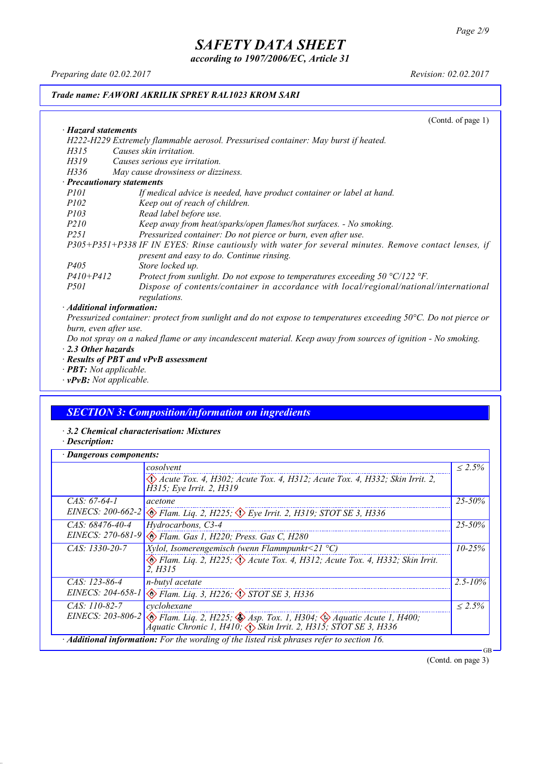*according to 1907/2006/EC, Article 31*

*Preparing date 02.02.2017 Revision: 02.02.2017*

### *Trade name: FAWORI AKRILIK SPREY RAL1023 KROM SARI*

(Contd. of page 1)

| · Hazard statements                                                                                                   |
|-----------------------------------------------------------------------------------------------------------------------|
| H222-H229 Extremely flammable aerosol. Pressurised container: May burst if heated.                                    |
| Causes skin irritation.<br>H315                                                                                       |
| H319<br>Causes serious eye irritation.                                                                                |
| May cause drowsiness or dizziness.<br>H336                                                                            |
| · Precautionary statements                                                                                            |
| <i>P101</i><br>If medical advice is needed, have product container or label at hand.                                  |
| <i>P102</i><br>Keep out of reach of children.                                                                         |
| <i>P103</i><br>Read label before use.                                                                                 |
| <i>P210</i><br>Keep away from heat/sparks/open flames/hot surfaces. - No smoking.                                     |
| Pressurized container: Do not pierce or burn, even after use.<br><i>P251</i>                                          |
| P305+P351+P338 IF IN EYES: Rinse cautiously with water for several minutes. Remove contact lenses, if                 |
| present and easy to do. Continue rinsing.                                                                             |
| <i>P405</i><br>Store locked up.                                                                                       |
| $P410 + P412$<br>Protect from sunlight. Do not expose to temperatures exceeding $50 \degree C/122 \degree F$ .        |
| Dispose of contents/container in accordance with local/regional/national/international<br><i>P501</i><br>regulations. |
| · Additional information:                                                                                             |

Pressurized container: protect from sunlight and do not expose to temperatures exceeding 50°C. Do not pierce or *burn, even after use.*

Do not spray on a naked flame or any incandescent material. Keep away from sources of ignition - No smoking. *· 2.3 Other hazards*

- *· Results of PBT and vPvB assessment*
- *· PBT: Not applicable.*
- *· vPvB: Not applicable.*

## *SECTION 3: Composition/information on ingredients*

- *· 3.2 Chemical characterisation: Mixtures*
- *· Description:*

| Dangerous components: |                                                                                                                                                                                           |              |
|-----------------------|-------------------------------------------------------------------------------------------------------------------------------------------------------------------------------------------|--------------|
|                       | cosolvent                                                                                                                                                                                 | $< 2.5\%$    |
|                       | Acute Tox. 4, H302; Acute Tox. 4, H312; Acute Tox. 4, H332; Skin Irrit. 2,<br>H315; Eye Irrit. 2, H319                                                                                    |              |
| $CAS. 67-64-1$        | acetone                                                                                                                                                                                   | $25 - 50\%$  |
|                       | EINECS: 200-662-2 $\otimes$ Flam. Lig. 2, H225; $\otimes$ Eye Irrit. 2, H319; STOT SE 3, H336                                                                                             |              |
| CAS: 68476-40-4       | Hydrocarbons, C3-4                                                                                                                                                                        | $25 - 50\%$  |
| EINECS: 270-681-9     | Elam. Gas 1, H220; Press. Gas C, H280                                                                                                                                                     |              |
| $CAS: 1330-20-7$      | <i>Xylol, Isomerengemisch (wenn Flammpunkt</i> <21 $^{\circ}$ C)                                                                                                                          | $10 - 25%$   |
|                       | Flam. Liq. 2, H225; $\Diamond$ Acute Tox. 4, H312; Acute Tox. 4, H332; Skin Irrit.<br>2. H315                                                                                             |              |
| CAS: 123-86-4         | n-butyl acetate                                                                                                                                                                           | $2.5 - 10\%$ |
|                       | EINECS: 204-658-1 & Flam. Liq. 3, H226; STOT SE 3, H336                                                                                                                                   |              |
| $CAS: 110-82-7$       | cyclohexane                                                                                                                                                                               | $< 2.5\%$    |
|                       | EINECS: 203-806-2 $\otimes$ Flam. Liq. 2, H225; $\otimes$ Asp. Tox. 1, H304; $\otimes$ Aquatic Acute 1, H400;<br>Aquatic Chronic 1, H410; $\Diamond$ Skin Irrit. 2, H315; STOT SE 3, H336 |              |
|                       | · Additional information: For the wording of the listed risk phrases refer to section 16.                                                                                                 | GB           |

(Contd. on page 3)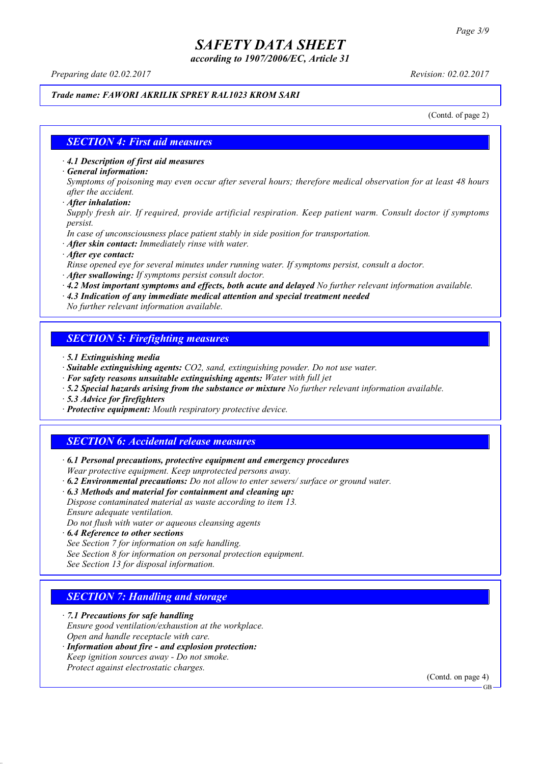*according to 1907/2006/EC, Article 31*

*Preparing date 02.02.2017 Revision: 02.02.2017*

#### *Trade name: FAWORI AKRILIK SPREY RAL1023 KROM SARI*

(Contd. of page 2)

#### *SECTION 4: First aid measures*

*· 4.1 Description of first aid measures*

*· General information:*

Symptoms of poisoning may even occur after several hours; therefore medical observation for at least 48 hours *after the accident.*

*· After inhalation:*

*Supply fresh air. If required, provide artificial respiration. Keep patient warm. Consult doctor if symptoms persist.*

*In case of unconsciousness place patient stably in side position for transportation.*

- *· After skin contact: Immediately rinse with water.*
- *· After eye contact:*

*Rinse opened eye for several minutes under running water. If symptoms persist, consult a doctor.*

*· After swallowing: If symptoms persist consult doctor.*

*· 4.2 Most important symptoms and effects, both acute and delayed No further relevant information available.*

*· 4.3 Indication of any immediate medical attention and special treatment needed*

*No further relevant information available.*

### *SECTION 5: Firefighting measures*

- *· 5.1 Extinguishing media*
- *· Suitable extinguishing agents: CO2, sand, extinguishing powder. Do not use water.*
- *· For safety reasons unsuitable extinguishing agents: Water with full jet*
- *· 5.2 Special hazards arising from the substance or mixture No further relevant information available.*
- *· 5.3 Advice for firefighters*
- *· Protective equipment: Mouth respiratory protective device.*

#### *SECTION 6: Accidental release measures*

*· 6.1 Personal precautions, protective equipment and emergency procedures Wear protective equipment. Keep unprotected persons away.*

*· 6.2 Environmental precautions: Do not allow to enter sewers/ surface or ground water.*

*· 6.3 Methods and material for containment and cleaning up:*

*Dispose contaminated material as waste according to item 13. Ensure adequate ventilation.*

*Do not flush with water or aqueous cleansing agents*

- *· 6.4 Reference to other sections*
- *See Section 7 for information on safe handling.*

*See Section 8 for information on personal protection equipment.*

*See Section 13 for disposal information.*

#### *SECTION 7: Handling and storage*

*· 7.1 Precautions for safe handling*

*Ensure good ventilation/exhaustion at the workplace.*

*Open and handle receptacle with care.*

*· Information about fire - and explosion protection: Keep ignition sources away - Do not smoke.*

*Protect against electrostatic charges.*

(Contd. on page 4)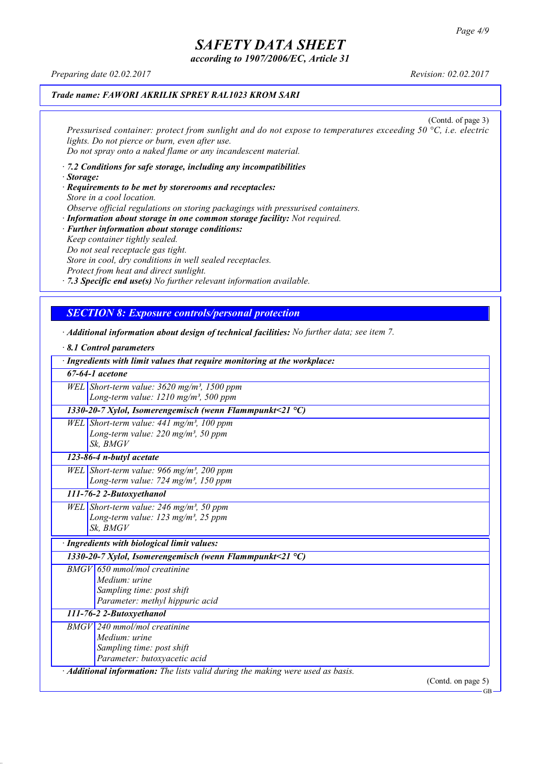*according to 1907/2006/EC, Article 31*

*Preparing date 02.02.2017 Revision: 02.02.2017*

#### *Trade name: FAWORI AKRILIK SPREY RAL1023 KROM SARI*

(Contd. of page 3) *Pressurised container: protect from sunlight and do not expose to temperatures exceeding 50 °C, i.e. electric lights. Do not pierce or burn, even after use. Do not spray onto a naked flame or any incandescent material.*

- *· 7.2 Conditions for safe storage, including any incompatibilities · Storage:*
- *· Requirements to be met by storerooms and receptacles: Store in a cool location. Observe official regulations on storing packagings with pressurised containers.*
- *· Information about storage in one common storage facility: Not required. · Further information about storage conditions: Keep container tightly sealed. Do not seal receptacle gas tight. Store in cool, dry conditions in well sealed receptacles. Protect from heat and direct sunlight.*

*· 7.3 Specific end use(s) No further relevant information available.*

### *SECTION 8: Exposure controls/personal protection*

- *· Additional information about design of technical facilities: No further data; see item 7.*
- *· 8.1 Control parameters · Ingredients with limit values that require monitoring at the workplace: 67-64-1 acetone WEL Short-term value: 3620 mg/m³, 1500 ppm Long-term value: 1210 mg/m³, 500 ppm 1330-20-7 Xylol, Isomerengemisch (wenn Flammpunkt<21 °C) WEL Short-term value: 441 mg/m³, 100 ppm Long-term value: 220 mg/m³, 50 ppm Sk, BMGV 123-86-4 n-butyl acetate WEL Short-term value: 966 mg/m³, 200 ppm Long-term value: 724 mg/m³, 150 ppm 111-76-2 2-Butoxyethanol WEL Short-term value: 246 mg/m³, 50 ppm Long-term value: 123 mg/m³, 25 ppm Sk, BMGV · Ingredients with biological limit values: 1330-20-7 Xylol, Isomerengemisch (wenn Flammpunkt<21 °C) BMGV 650 mmol/mol creatinine Medium: urine Sampling time: post shift Parameter: methyl hippuric acid 111-76-2 2-Butoxyethanol BMGV 240 mmol/mol creatinine Medium: urine Sampling time: post shift Parameter: butoxyacetic acid · Additional information: The lists valid during the making were used as basis.*

(Contd. on page 5)

GB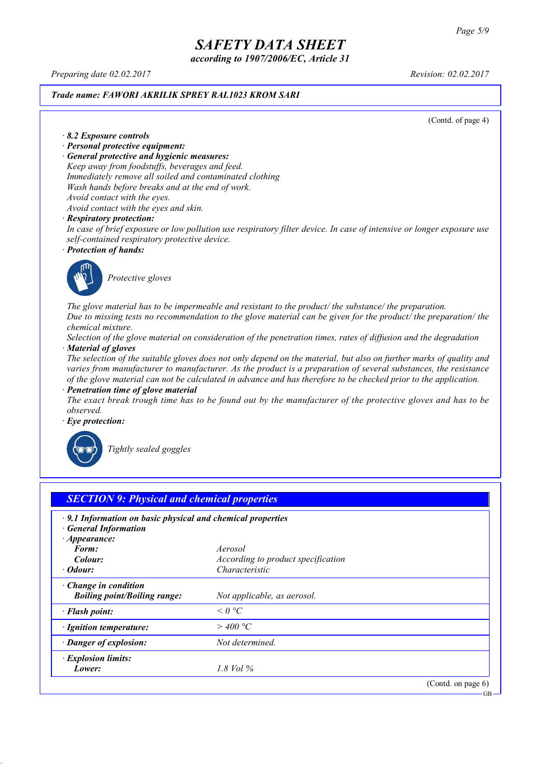*according to 1907/2006/EC, Article 31*

*Preparing date 02.02.2017 Revision: 02.02.2017*

#### *Trade name: FAWORI AKRILIK SPREY RAL1023 KROM SARI*

(Contd. of page 4)

*· 8.2 Exposure controls*

- *· Personal protective equipment:*
- *· General protective and hygienic measures:*

*Keep away from foodstuffs, beverages and feed. Immediately remove all soiled and contaminated clothing Wash hands before breaks and at the end of work. Avoid contact with the eyes.*

*Avoid contact with the eyes and skin.*

#### *· Respiratory protection:*

In case of brief exposure or low pollution use respiratory filter device. In case of intensive or longer exposure use *self-contained respiratory protective device.*

*· Protection of hands:*



*Protective gloves*

*The glove material has to be impermeable and resistant to the product/ the substance/ the preparation.* Due to missing tests no recommendation to the glove material can be given for the product/ the preparation/ the *chemical mixture.*

Selection of the glove material on consideration of the penetration times, rates of diffusion and the degradation *· Material of gloves*

The selection of the suitable gloves does not only depend on the material, but also on further marks of quality and *varies from manufacturer to manufacturer. As the product is a preparation of several substances, the resistance* of the glove material can not be calculated in advance and has therefore to be checked prior to the application.

*· Penetration time of glove material*

The exact break trough time has to be found out by the manufacturer of the protective gloves and has to be *observed.*

*· Eye protection:*



*Tightly sealed goggles*

| $\cdot$ 9.1 Information on basic physical and chemical properties<br><b>General Information</b> |                                    |  |
|-------------------------------------------------------------------------------------------------|------------------------------------|--|
| $\cdot$ Appearance:<br>Form:                                                                    | Aerosol                            |  |
| Colour:                                                                                         | According to product specification |  |
| · Odour:                                                                                        | Characteristic                     |  |
| $\cdot$ Change in condition<br><b>Boiling point/Boiling range:</b>                              | Not applicable, as aerosol.        |  |
| · Flash point:                                                                                  | $\leq$ 0 °C                        |  |
| · Ignition temperature:                                                                         | $>$ 400 °C                         |  |
| · Danger of explosion:                                                                          | Not determined.                    |  |
| · Explosion limits:                                                                             |                                    |  |
| Lower:                                                                                          | 1.8 Vol %                          |  |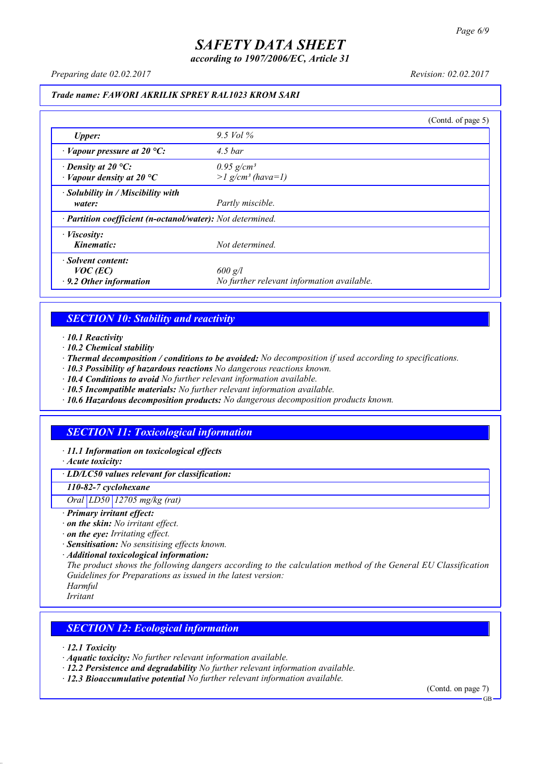*according to 1907/2006/EC, Article 31*

*Preparing date 02.02.2017 Revision: 02.02.2017*

#### *Trade name: FAWORI AKRILIK SPREY RAL1023 KROM SARI*

|                                                                 |                                                             | (Contd. of page 5) |
|-----------------------------------------------------------------|-------------------------------------------------------------|--------------------|
| <b>Upper:</b>                                                   | 9.5 Vol $\%$                                                |                    |
| $\cdot$ Vapour pressure at 20 °C:                               | $4.5\,bar$                                                  |                    |
| $\cdot$ Density at 20 °C:<br>$\cdot$ Vapour density at 20 °C    | $0.95$ g/cm <sup>3</sup><br>$>l$ g/cm <sup>3</sup> (hava=1) |                    |
| · Solubility in / Miscibility with<br>water:                    | Partly miscible.                                            |                    |
| · Partition coefficient (n-octanol/water): Not determined.      |                                                             |                    |
| $\cdot$ <i>Viscosity:</i><br>Kinematic:                         | Not determined.                                             |                    |
| Solvent content:<br>$VOC$ (EC)<br>$\cdot$ 9.2 Other information | $600$ g/l<br>No further relevant information available.     |                    |

### *SECTION 10: Stability and reactivity*

*· 10.1 Reactivity*

- *· 10.2 Chemical stability*
- *· Thermal decomposition / conditions to be avoided: No decomposition if used according to specifications.*
- *· 10.3 Possibility of hazardous reactions No dangerous reactions known.*
- *· 10.4 Conditions to avoid No further relevant information available.*
- *· 10.5 Incompatible materials: No further relevant information available.*
- *· 10.6 Hazardous decomposition products: No dangerous decomposition products known.*

### *SECTION 11: Toxicological information*

*· 11.1 Information on toxicological effects*

*· Acute toxicity:*

*· LD/LC50 values relevant for classification:*

*110-82-7 cyclohexane*

*Oral LD50 12705 mg/kg (rat)*

- *· Primary irritant effect:*
- *· on the skin: No irritant effect.*
- *· on the eye: Irritating effect.*
- *· Sensitisation: No sensitising effects known.*
- *· Additional toxicological information:*

*The product shows the following dangers according to the calculation method of the General EU Classification Guidelines for Preparations as issued in the latest version:*

*Harmful Irritant*

#### *SECTION 12: Ecological information*

*· 12.1 Toxicity*

- *· Aquatic toxicity: No further relevant information available.*
- *· 12.2 Persistence and degradability No further relevant information available.*
- *· 12.3 Bioaccumulative potential No further relevant information available.*

(Contd. on page 7) **GB**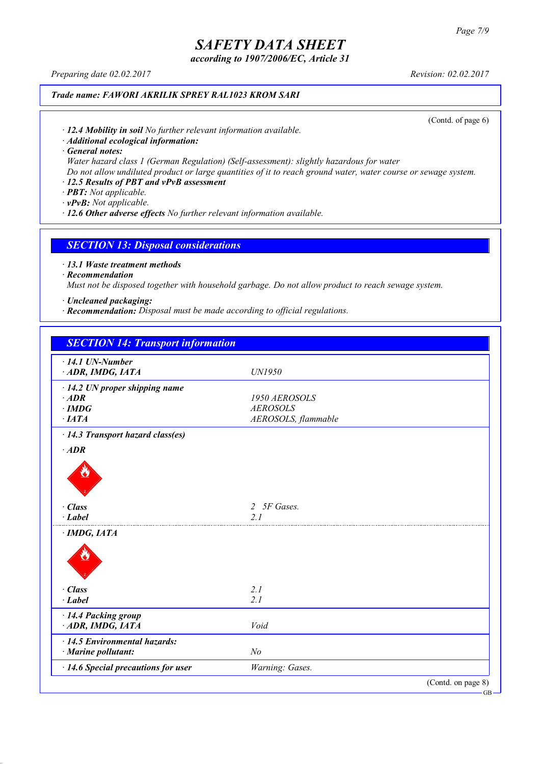*according to 1907/2006/EC, Article 31*

*Preparing date 02.02.2017 Revision: 02.02.2017*

### *Trade name: FAWORI AKRILIK SPREY RAL1023 KROM SARI*

(Contd. of page 6)

*· 12.4 Mobility in soil No further relevant information available.*

*· Additional ecological information:*

*· General notes:*

*Water hazard class 1 (German Regulation) (Self-assessment): slightly hazardous for water*

Do not allow undiluted product or large quantities of it to reach ground water, water course or sewage system.

### *· 12.5 Results of PBT and vPvB assessment*

*· PBT: Not applicable.*

*· vPvB: Not applicable.*

*· 12.6 Other adverse effects No further relevant information available.*

#### *SECTION 13: Disposal considerations*

*· 13.1 Waste treatment methods*

*· Recommendation*

*Must not be disposed together with household garbage. Do not allow product to reach sewage system.*

*· Uncleaned packaging:*

*· Recommendation: Disposal must be made according to official regulations.*

| <b>SECTION 14: Transport information</b>                   |                     |                    |
|------------------------------------------------------------|---------------------|--------------------|
| $\cdot$ 14.1 UN-Number                                     |                     |                    |
| ADR, IMDG, IATA                                            | UN1950              |                    |
| $\cdot$ 14.2 UN proper shipping name                       |                     |                    |
| $·$ <i>ADR</i>                                             | 1950 AEROSOLS       |                    |
| $\cdot$ IMDG                                               | <b>AEROSOLS</b>     |                    |
| ·IATA                                                      | AEROSOLS, flammable |                    |
| · 14.3 Transport hazard class(es)                          |                     |                    |
| $·$ <i>ADR</i>                                             |                     |                    |
|                                                            |                     |                    |
| $\cdot$ Class                                              | 2 5F Gases.         |                    |
| $\cdot$ Label                                              | 2.1                 |                    |
| · IMDG, IATA                                               |                     |                    |
|                                                            |                     |                    |
| $\cdot$ Class                                              | 2.1                 |                    |
| $-Label$                                                   | 2.1                 |                    |
| · 14.4 Packing group                                       |                     |                    |
| ADR, IMDG, IATA                                            | Void                |                    |
| $\cdot$ 14.5 Environmental hazards:<br>· Marine pollutant: | N <sub>o</sub>      |                    |
| · 14.6 Special precautions for user                        | Warning: Gases.     |                    |
|                                                            |                     | (Contd. on page 8) |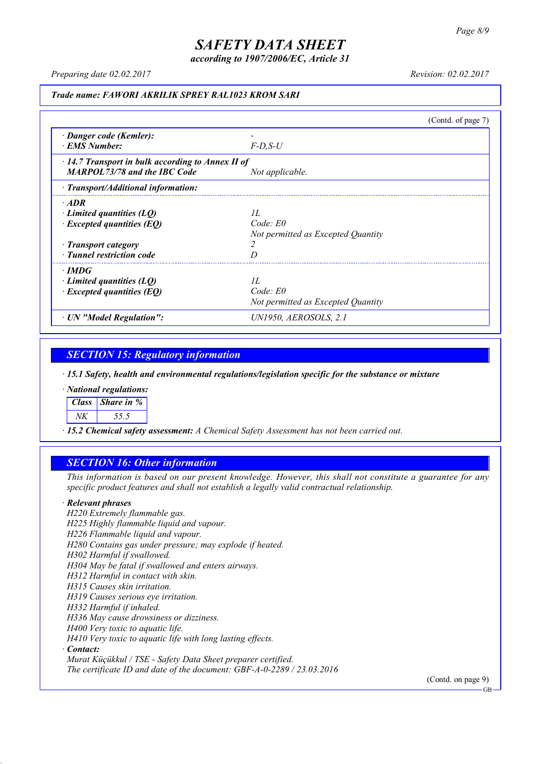*according to 1907/2006/EC, Article 31*

*Preparing date 02.02.2017 Revision: 02.02.2017*

#### *Trade name: FAWORI AKRILIK SPREY RAL1023 KROM SARI*

(Contd. of page 7) *· Danger code (Kemler): - · EMS Number: F-D,S-U · 14.7 Transport in bulk according to Annex II of MARPOL73/78 and the IBC Code Not applicable. · Transport/Additional information: · ADR · Limited quantities (LQ) 1L · Excepted quantities (EQ) Code: E0 Not permitted as Excepted Quantity · Transport category 2 · Tunnel restriction code D · IMDG · Limited quantities (LQ) 1L · Excepted quantities (EQ) Code: E0 Not permitted as Excepted Quantity · UN "Model Regulation": UN1950, AEROSOLS, 2.1*

### *SECTION 15: Regulatory information*

*· 15.1 Safety, health and environmental regulations/legislation specific for the substance or mixture*

*· National regulations:*

*Class Share in %*

*NK 55.5*

*· 15.2 Chemical safety assessment: A Chemical Safety Assessment has not been carried out.*

### *SECTION 16: Other information*

This information is based on our present knowledge. However, this shall not constitute a guarantee for any *specific product features and shall not establish a legally valid contractual relationship.*

#### *· Relevant phrases*

*H220 Extremely flammable gas. H225 Highly flammable liquid and vapour. H226 Flammable liquid and vapour. H280 Contains gas under pressure; may explode if heated. H302 Harmful if swallowed. H304 May be fatal if swallowed and enters airways. H312 Harmful in contact with skin. H315 Causes skin irritation. H319 Causes serious eye irritation. H332 Harmful if inhaled. H336 May cause drowsiness or dizziness. H400 Very toxic to aquatic life. H410 Very toxic to aquatic life with long lasting effects. · Contact: Murat Küçükkul / TSE - Safety Data Sheet preparer certified.*

*The certificate ID and date of the document: GBF-A-0-2289 / 23.03.2016*

(Contd. on page 9)

GB